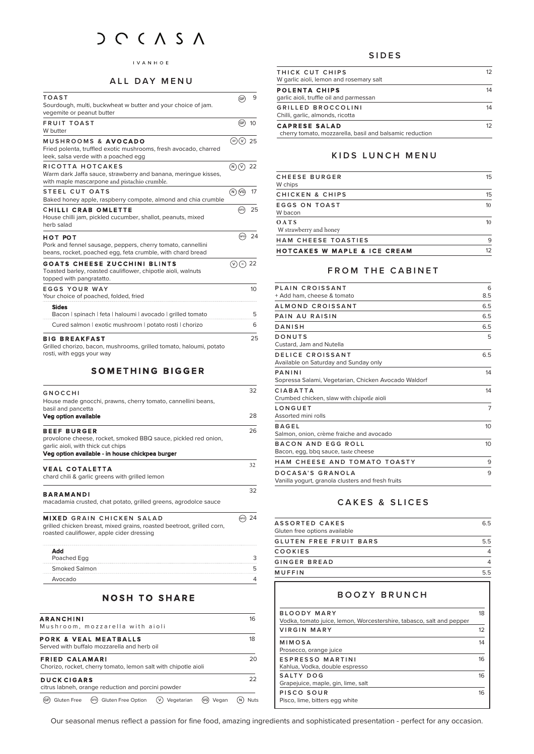# $DCCASA$

#### $I$  V A N H O E

#### **ALL DAY MENU**

| <b>TOAST</b>                                                                                                                         | (GF)        | 9                |
|--------------------------------------------------------------------------------------------------------------------------------------|-------------|------------------|
| Sourdough, multi, buckwheat w butter and your choice of jam.<br>vegemite or peanut butter                                            |             |                  |
| <b>FRUIT TOAST</b><br>W butter                                                                                                       | (GF)        | 10 <sup>10</sup> |
| MUSHROOMS & AVOCADO<br>Fried polenta, truffled exotic mushrooms, fresh avocado, charred<br>leek, salsa verde with a poached egg      | $(s_F)(V)$  | 25               |
| RICOTTA HOTCAKES<br>Warm dark Jaffa sauce, strawberry and banana, meringue kisses,<br>with maple mascarpone and pistachio crumble.   | $(N)(V)$ 22 |                  |
| STEEL CUT OATS<br>Baked honey apple, raspberry compote, almond and chia crumble                                                      | (N)(VG)     | 17               |
| <b>CHILLI CRAB OMLETTE</b><br>House chilli jam, pickled cucumber, shallot, peanuts, mixed<br>herb salad                              | (GFO        | 25               |
| нот рот<br>Pork and fennel sausage, peppers, cherry tomato, cannellini<br>beans, rocket, poached egg, feta crumble, with chard bread | (GFO)       | 24               |
| <b>GOATS CHEESE ZUCCHINI BLINTS</b><br>Toasted barley, roasted cauliflower, chipotle aioli, walnuts<br>topped with pangratatto.      | (v)(v)      | -22              |
| <b>EGGS YOUR WAY</b><br>Your choice of poached, folded, fried                                                                        |             | 10               |
| <b>Sides</b><br>Bacon   spinach   feta   haloumi   avocado   grilled tomato                                                          |             | 5                |
| Cured salmon   exotic mushroom   potato rosti   chorizo                                                                              |             | 6                |
| <b>BIG BREAKFAST</b><br>Grilled chorizo, bacon, mushrooms, grilled tomato, haloumi, potato<br>rosti, with eggs your way              |             | 25               |

## **SOMETHING BIGGER**

| GNOCCHI<br>House made gnocchi, prawns, cherry tomato, cannellini beans,                                                                                                       | 32 |
|-------------------------------------------------------------------------------------------------------------------------------------------------------------------------------|----|
| basil and pancetta<br><b>Veg option available</b>                                                                                                                             | 28 |
| <b>BEEF BURGER</b><br>provolone cheese, rocket, smoked BBQ sauce, pickled red onion,<br>garlic aioli, with thick cut chips<br>Veg option available - in house chickpea burger | 26 |
| <b>VEAL COTALETTA</b><br>chard chili & garlic greens with grilled lemon                                                                                                       | 32 |
| <b>BARAMANDI</b><br>macadamia crusted, chat potato, grilled greens, agrodolce sauce                                                                                           | 32 |
| <b>MIXED GRAIN CHICKEN SALAD</b><br>grilled chicken breast, mixed grains, roasted beetroot, grilled corn,<br>roasted cauliflower, apple cider dressing                        | 24 |
| Add<br>Poached Egg                                                                                                                                                            | 3  |
| Smoked Salmon                                                                                                                                                                 | 5  |

# **NOSH TO SHARE**

Avocado 4

| <b>ARANCHINI</b><br>Mushroom, mozzarella with aioli                                     |                |            | 16 |
|-----------------------------------------------------------------------------------------|----------------|------------|----|
| <b>PORK &amp; VEAL MEATBALLS</b><br>Served with buffalo mozzarella and herb oil         |                |            | 18 |
| <b>FRIED CALAMARI</b><br>Chorizo, rocket, cherry tomato, lemon salt with chipotle aioli |                |            | 20 |
| <b>DUCK CIGARS</b><br>citrus labneh, orange reduction and porcini powder                |                |            | フフ |
| (GFO) Gluten Free Option<br>Gluten Free<br>'GF)                                         | (v) Vegetarian | (vg) Vegan |    |

#### **SIDES**

| THICK CUT CHIPS<br>W garlic aioli, lemon and rosemary salt                      | 12 |
|---------------------------------------------------------------------------------|----|
| <b>POLENTA CHIPS</b><br>garlic aioli, truffle oil and parmessan                 | 14 |
| GRILLED BROCCOLINI<br>Chilli, garlic, almonds, ricotta                          | 14 |
| <b>CAPRESE SALAD</b><br>cherry tomato, mozzarella, basil and balsamic reduction | 12 |

## **KIDS LUNCH MENU**

| <b>HAM CHEESE TOASTIES</b>        | 9  |
|-----------------------------------|----|
|                                   |    |
| O A T S<br>W strawberry and honey | 10 |
| EGGS ON TOAST<br>W bacon          | 10 |
| CHICKEN & CHIPS                   | 15 |
| CHEESE BURGER<br>W chips          | 15 |

# **FROM THE CABINET**

| PLAIN CROISSANT                                                       | 6              |
|-----------------------------------------------------------------------|----------------|
| + Add ham, cheese & tomato                                            | 8.5            |
| ALMOND CROISSANT                                                      | 6.5            |
| PAIN AU RAISIN                                                        | 6.5            |
| DANISH                                                                | 6.5            |
| DONUTS<br>Custard, Jam and Nutella                                    | 5              |
| DELICE CROISSANT<br>Available on Saturday and Sunday only             | 6.5            |
| PANINI<br>Sopressa Salami, Vegetarian, Chicken Avocado Waldorf        | 14             |
| CIABATTA<br>Crumbed chicken, slaw with chipotle aioli                 | 14             |
| LONGUET<br>Assorted mini rolls                                        | $\overline{7}$ |
| <b>BAGFI</b><br>Salmon, onion, crème fraiche and avocado              | 10             |
| BACON AND EGG ROLL<br>Bacon, egg, bbg sauce, taste cheese             | 10             |
| HAM CHEESE AND TOMATO TOASTY                                          | 9              |
| DOCASA'S GRANOIA<br>Vanilla yogurt, granola clusters and fresh fruits | 9              |

## **CAKES & SLICES**

| ASSORTED CAKES                | 6.5            |
|-------------------------------|----------------|
| Gluten free options available |                |
| <b>GLUTEN FREE FRUIT BARS</b> | 5.5            |
| COOKIES                       | $\overline{4}$ |
| <b>GINGER BREAD</b>           | Δ              |
| <b>MUFFIN</b>                 | 5.5            |

## **BOOZY BRUNCH**

| BLOODY MARY<br>Vodka, tomato juice, lemon, Worcestershire, tabasco, salt and pepper | 18 |
|-------------------------------------------------------------------------------------|----|
| VIRGIN MARY                                                                         | 12 |
| MIMOSA<br>Prosecco, orange juice                                                    | 14 |
| ESPRESSO MARTINI<br>Kahlua, Vodka, double espresso                                  | 16 |
| SALTY DOG<br>Grapejuice, maple, gin, lime, salt                                     | 16 |
| PISCO SOUR<br>Pisco, lime, bitters egg white                                        | 16 |

Our seasonal menus reflect a passion for fine food, amazing ingredients and sophisticated presentation - perfect for any occasion.